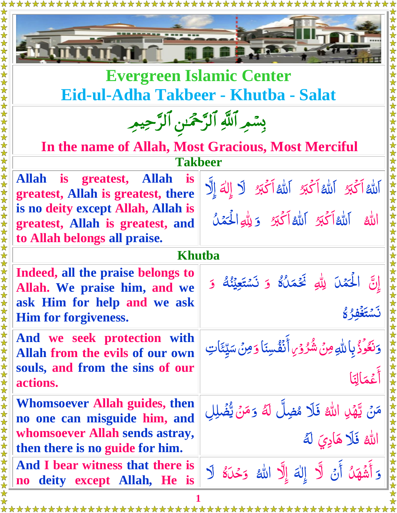

**Evergreen Islamic Center Eid-ul-Adha Takbeer - Khutba - Salat**

| بِسْمِرِ ٱللَّهِ ٱلرَّحْمَىٰنِ ٱلرَّحِيمِ |  |  |
|-------------------------------------------|--|--|
|                                           |  |  |
|                                           |  |  |
|                                           |  |  |

**In the name of Allah, Most Gracious, Most Merciful**

**Allah is greatest, Allah is greatest, Allah is greatest, there is no deity except Allah, Allah is greatest, Allah is greatest, and to Allah belongs all praise.**

| اَللَّهُ اَكْبَرُ اللَّهُ اَكْبَرُ اللَّهُ اَكْبَرُ لَا إِلٰهَ إِلَّا |  |  |  |
|-----------------------------------------------------------------------|--|--|--|
| الله الله الكَّ الله الكَّ وَلِلَّهِ الْحَمَلُ                        |  |  |  |

#### **Khutba**

**Indeed, all the praise belongs to Allah. We praise him, and we ask Him for help and we ask Him for forgiveness.**

**And we seek protection with Allah from the evils of our own souls, and from the sins of our actions.**

**Whomsoever Allah guides, then no one can misguide him, and whomsoever Allah sends astray, then there is no guide for him.**

**And I bear witness that there is no deity except Allah, He is** 

 إِن ا :<br>ا ن<br>أ لَّكَمَْلَ لِلَّٰهِ ثَكَّمَلُگُ ه ه  $\tilde{\lambda}$ .<br>نخم  $\tilde{\mathbf{S}}$ Ĺ وَ نَسْتَعِيْنُكُ ه ه<br>م لي<br>م  $\tilde{ }$ Ĵ و ه ن*َ*سْتَغْفِرُكُم ر<br>\_  $\tilde{ }$ 

 $\frac{1}{2}$ وَنَعُوْذُ بِاللَّهِ مِنْ شُرْوُرِ الْنَفْسِنَا ه  $\overline{\phantom{a}}$ ه Ĺ ه ه<br>ما ه<br>م  $\tilde{\mathbf{z}}$ وَمِنۡ سَيِّئَاتِ  $\frac{1}{2}$ آراءِ<br>د

ءَ<br>ع أَعْمَالَ أ  $\tilde{\mathbf{z}}$ حَالِبَا

 $\frac{1}{2}$ مَنۡ یَّهۡلِ اللّٰہُ فَلَا مُضِلَّ لَهُ <u>ئي</u><br>"  $\tilde{A}$ ه ه ه ا ه لله <mark>فَلًا هَا</mark>  $\frac{1}{2}$ دِي ه ل ه

 $\frac{1}{\sqrt{2}}$ وَ أَشۡهَنۡ أَنۡ لَا ۖ إِلٰهَ إِلَّا اللّٰهُ ۚ وَحۡنَهُ ه  $\tilde{\mathbf{r}}$ أ  $\ddot{\phantom{0}}$ ֖֖֖֪֪֪ׅ֪֪ׅ֪֪ׅ֪֪֪ׅ֧֪ׅ֖֚֚֚֚֚֚֚֚֚֚֚֚֚֚֚֚֚֚֚֚֡֝֝֝֝֬֝֬֝֟֓֓֓֝֬֓֬֝֬֝֓֓֝֬֓֝֬֝֬֝֓֬֝֬֝֬֝֬֝֬֝֬֝֬֝֬֝ ه  $\frac{1}{\sqrt{2}}$ وَحْلَةُ لَا

 $\frac{1}{2}$ 

وَ مَنۡ يُّضۡلِلِ  $\tilde{\cdot}$ لما<br>معالج  $\tilde{\mathbf{c}}$ 

**1**

\*\*\*\*\*\*\*\*\*\*\*\*\*\*\*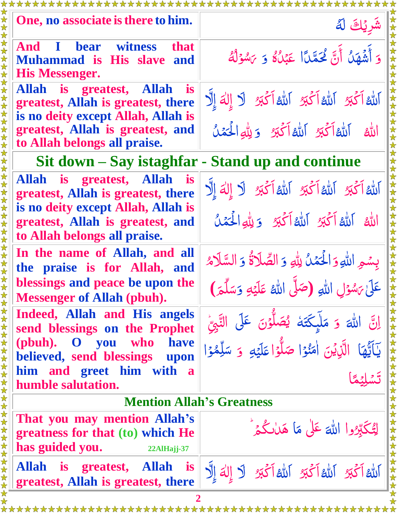| One, no associate is there to him.                                                                                | اشريك لة                                                                                                                          |  |  |  |  |
|-------------------------------------------------------------------------------------------------------------------|-----------------------------------------------------------------------------------------------------------------------------------|--|--|--|--|
| <b>And I bear witness</b><br><b>that</b><br><b>Muhammad is His slave</b><br>and<br><b>His Messenger.</b>          | وَ أَشْهَلُ أَنَّ لَمَحَمَّلًا عَبْلُهُ وَ يَسْوَلُهُ                                                                             |  |  |  |  |
| Allah is greatest, Allah<br><b>is</b><br>greatest, Allah is greatest, there<br>is no deity except Allah, Allah is | الله الكَّبِرُ الله الكَّبِرُ الله الكَّبِرُ لَا إِلٰهَ إِلَّا                                                                    |  |  |  |  |
| greatest, Allah is greatest, and<br>to Allah belongs all praise.                                                  | الله الله الكُّنُ اللهُ اَكْتِرْ وَيِلْهِ الْحَمَلُ                                                                               |  |  |  |  |
| Sit down – Say istaghfar - Stand up and continue                                                                  |                                                                                                                                   |  |  |  |  |
| Allah is greatest, Allah is<br>greatest, Allah is greatest, there<br>is no deity except Allah, Allah is           | اَللَّهُ اَكْبَرُ اَللَّهُ اَكْبَرُ اَللَّهُ اَكْبَرُ لَا إِلٰهَ إِلَّا                                                           |  |  |  |  |
| greatest, Allah is greatest, and<br>to Allah belongs all praise.                                                  | الله الله أكَّتِ الله أكَّتِ وَيِلُّهِ الْحَمَلُ                                                                                  |  |  |  |  |
| In the name of Allah, and all<br>the praise is for Allah, and<br>blessings and peace be upon the                  | بِسْمِ اللَّهِ وَالْحَمْلُ لِلَّهِ وَ الصَّلَاةُ وَ السَّلَامُ                                                                    |  |  |  |  |
| <b>Messenger of Allah (pbuh).</b>                                                                                 | عَلَىٰ يَسْوَلِ اللَّهِ (صَلَّى اللَّهُ عَلَيْهِ وَسَلَّمَ)                                                                       |  |  |  |  |
| Indeed, Allah and His angels<br>send blessings on the Prophet                                                     | َّ إِنَّ اللَّٰہَ وَ مَلَّىکَتَهُ یُصَلُّوۡنَ عَلَى النَّبِیُّ<br>یَاَیُّهَا الَّذِیۡنَ اٰمَنُوۡا صَلُّوۡا عَلَیۡهِ وَ سَلِّمُوۡا |  |  |  |  |
| (pbuh). O you<br>who<br>have<br>believed, send blessings upon                                                     |                                                                                                                                   |  |  |  |  |
| him and greet him with a<br>humble salutation.                                                                    |                                                                                                                                   |  |  |  |  |
| <b>Mention Allah's Greatness</b>                                                                                  |                                                                                                                                   |  |  |  |  |
| That you may mention Allah's<br>greatness for that (to) which He<br>has guided you.<br>$22$ AlHajj-37             | لِتُكَبِّدُوا اللهَ عَلٰى مَا هَالْكُمْ                                                                                           |  |  |  |  |
| 女女女女女女女女女女女女女女女女女女女女女女女女女<br>Allah is greatest, Allah<br><i>is</i><br>greatest, Allah is greatest, there          | الله أَكْبَرُ اللهُ أَكْبَرُ اللهُ أَكْبَرُ لَا إِلٰهَ إِلَّا                                                                     |  |  |  |  |
|                                                                                                                   |                                                                                                                                   |  |  |  |  |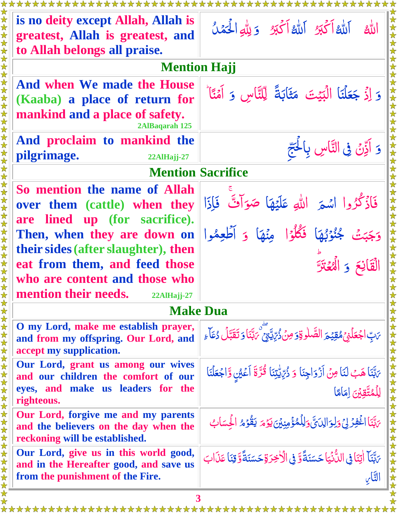| الله إلله المكبر الله المكبر ويله الحمد                                                              |  |  |  |  |  |  |
|------------------------------------------------------------------------------------------------------|--|--|--|--|--|--|
|                                                                                                      |  |  |  |  |  |  |
|                                                                                                      |  |  |  |  |  |  |
| <b>Mention Hajj</b>                                                                                  |  |  |  |  |  |  |
|                                                                                                      |  |  |  |  |  |  |
| وَ إِذْ جَعَلْنَا الْبَيْتَ مَثَابَةً لِلنَّاسِ وَ آمَنًا َّ                                         |  |  |  |  |  |  |
|                                                                                                      |  |  |  |  |  |  |
|                                                                                                      |  |  |  |  |  |  |
| وَ أَذِّنٌ فِى النَّاسِ بِالْحَجّ                                                                    |  |  |  |  |  |  |
| pilgrimage.<br>22AlHajj-27<br><b>Mention Sacrifice</b>                                               |  |  |  |  |  |  |
|                                                                                                      |  |  |  |  |  |  |
| فَأَذْكُرُوا اسْمَرَ اللَّهِ عَلَيْهَا صَوَاتٌ فَإِذَا                                               |  |  |  |  |  |  |
|                                                                                                      |  |  |  |  |  |  |
| وَجَبَتْ جُنُوۡبُهَا فَكُلُّوۡ مِنۡهَا وَ أَطۡعِمُوا                                                 |  |  |  |  |  |  |
|                                                                                                      |  |  |  |  |  |  |
| القانع و الهيخة                                                                                      |  |  |  |  |  |  |
|                                                                                                      |  |  |  |  |  |  |
|                                                                                                      |  |  |  |  |  |  |
| 女女女女女女女女女女女女女女女女女女女女女女女女<br><b>Make Dua</b>                                                          |  |  |  |  |  |  |
| <i>؆</i> ڹؚ١ <b>جۡعَلۡؽۡمُقِیۡمَ الصَّلٰوۃِ ٓ مِنۡ دُ</b> ّرِّیۡتِیۡ ۖ ؆بَّنَا وَ تَقَبَّلۡ دُعَآ ءِ |  |  |  |  |  |  |
| يَابَنَا هَبُ لَنَا مِنْ أَزْوَاجِنَا وَ ذُرِّيِّيتِنَا قُرَّةَ أَعْيُنِ وَّاجُعَلْنَا               |  |  |  |  |  |  |
| لِلْمُتَّقِينَ اِمَامًا                                                                              |  |  |  |  |  |  |
| يَبَّنَا اغْفِرْ لِيَ وَلِوَالِدَيَّ وَلِلَّمُؤْمِنِينَ يَوْمَ يَقُوْمُ الْحِسَابُ                   |  |  |  |  |  |  |
| يَبَّنَآ اٰتِنَا فِي اللُّانِّيَا حَسَنَةً وَّ فِي الْأَخِرَةِ حَسَنَةً وَّ قِنَا عَذَابَ<br>التَّاس |  |  |  |  |  |  |
|                                                                                                      |  |  |  |  |  |  |

**3**